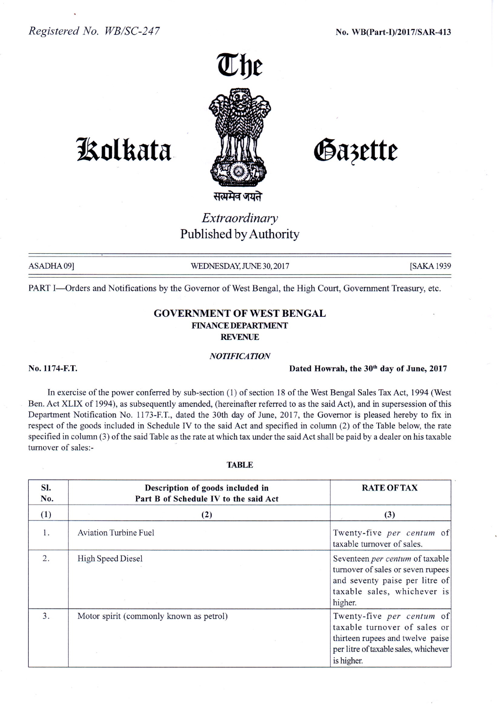

# **1So1kata**

Gazette

सत्यमेव जयते

# *Extraordinary* Published by Authority

ASADHA09] WEDNESDAY, JUNE 30, 2017 [SAKA 1939]

PART I-Orders and Notifications by the Governor of West Bengal, the High Court, Government Treasury, etc.

### GOVERNMENT OF WEST BENGAL FINANCE DEPARTMENT REVENUE

#### *NOTIFICATION*

#### No. 1174-F.T. Dated Howrah, the 30<sup>th</sup> day of June, 2017

In exercise of the power conferred by sub-section (1) of section 18 of the West Bengal Sales Tax Act, 1994 (West Ben. Act XLIX of 1994), as subsequently amended, (hereinafter referred to as the said Act), and in supersession of this Department Notification No. 1173-FT., dated the 30th day of June, 2017, the Governor is pleased hereby to fix in respect of the goods included in Schedule IV to the said Act and specified in column (2) of the Table below, the rate specified in column (3) of the said Table as the rate at which tax under the said Act shall be paid by a dealer on his taxable turnover of sales:-

#### TABLE

| Sl.<br>No.       | Description of goods included in<br>Part B of Schedule IV to the said Act | <b>RATE OF TAX</b>                                                                                                                                   |
|------------------|---------------------------------------------------------------------------|------------------------------------------------------------------------------------------------------------------------------------------------------|
| (1)              | (2)                                                                       | (3)                                                                                                                                                  |
| 1.               | <b>Aviation Turbine Fuel</b>                                              | Twenty-five per centum of<br>taxable turnover of sales.                                                                                              |
| $\overline{2}$ . | <b>High Speed Diesel</b>                                                  | Seventeen per centum of taxable<br>turnover of sales or seven rupees<br>and seventy paise per litre of<br>taxable sales, whichever is<br>higher.     |
| 3.               | Motor spirit (commonly known as petrol)                                   | Twenty-five per centum of<br>taxable turnover of sales or<br>thirteen rupees and twelve paise<br>per litre of taxable sales, whichever<br>is higher. |